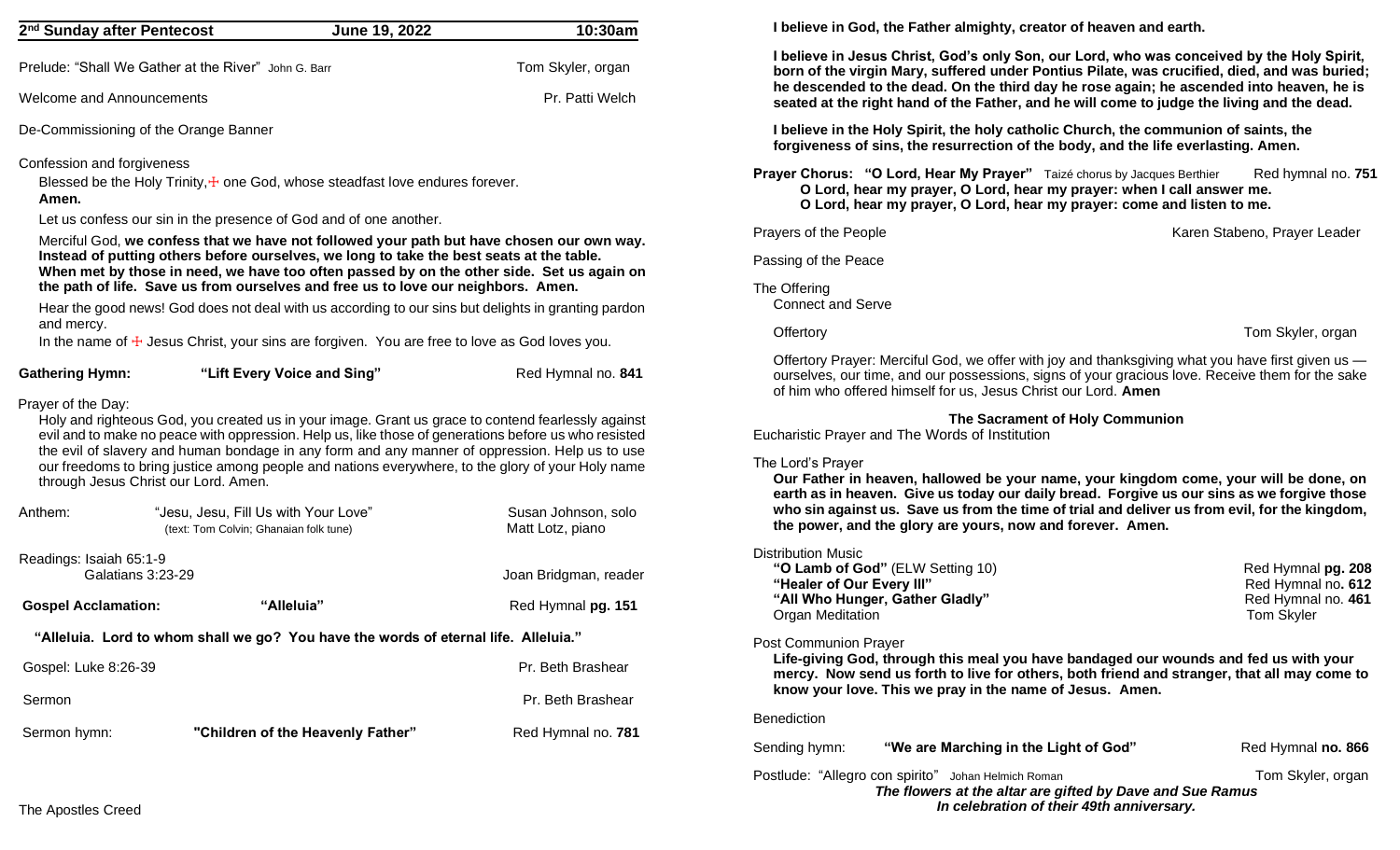| 2 <sup>nd</sup> Sunday after Pentecost                     | June 19, 2022                                                                                                                                                                                                                                                                                                                                                                                                     | 10:30am                                 |
|------------------------------------------------------------|-------------------------------------------------------------------------------------------------------------------------------------------------------------------------------------------------------------------------------------------------------------------------------------------------------------------------------------------------------------------------------------------------------------------|-----------------------------------------|
|                                                            | Prelude: "Shall We Gather at the River" John G. Barr                                                                                                                                                                                                                                                                                                                                                              | Tom Skyler, organ                       |
| <b>Welcome and Announcements</b>                           |                                                                                                                                                                                                                                                                                                                                                                                                                   | Pr. Patti Welch                         |
| De-Commissioning of the Orange Banner                      |                                                                                                                                                                                                                                                                                                                                                                                                                   |                                         |
| Confession and forgiveness<br>Amen.                        | Blessed be the Holy Trinity, $\pm$ one God, whose steadfast love endures forever.<br>Let us confess our sin in the presence of God and of one another.                                                                                                                                                                                                                                                            |                                         |
|                                                            | Merciful God, we confess that we have not followed your path but have chosen our own way.<br>Instead of putting others before ourselves, we long to take the best seats at the table.<br>When met by those in need, we have too often passed by on the other side. Set us again on<br>the path of life. Save us from ourselves and free us to love our neighbors. Amen.                                           |                                         |
| and mercy.                                                 | Hear the good news! God does not deal with us according to our sins but delights in granting pardon                                                                                                                                                                                                                                                                                                               |                                         |
|                                                            | In the name of $\pm$ Jesus Christ, your sins are forgiven. You are free to love as God loves you.                                                                                                                                                                                                                                                                                                                 |                                         |
| <b>Gathering Hymn:</b>                                     | "Lift Every Voice and Sing"                                                                                                                                                                                                                                                                                                                                                                                       | Red Hymnal no. 841                      |
| Prayer of the Day:<br>through Jesus Christ our Lord. Amen. | Holy and righteous God, you created us in your image. Grant us grace to contend fearlessly against<br>evil and to make no peace with oppression. Help us, like those of generations before us who resisted<br>the evil of slavery and human bondage in any form and any manner of oppression. Help us to use<br>our freedoms to bring justice among people and nations everywhere, to the glory of your Holy name |                                         |
| Anthem:                                                    | "Jesu, Jesu, Fill Us with Your Love"<br>(text: Tom Colvin; Ghanaian folk tune)                                                                                                                                                                                                                                                                                                                                    | Susan Johnson, solo<br>Matt Lotz, piano |
| Readings: Isaiah 65:1-9<br>Galatians 3:23-29               |                                                                                                                                                                                                                                                                                                                                                                                                                   | Joan Bridgman, reader                   |
| <b>Gospel Acclamation:</b>                                 | "Alleluia"                                                                                                                                                                                                                                                                                                                                                                                                        | Red Hymnal pg. 151                      |
|                                                            | "Alleluia. Lord to whom shall we go? You have the words of eternal life. Alleluia."                                                                                                                                                                                                                                                                                                                               |                                         |
|                                                            |                                                                                                                                                                                                                                                                                                                                                                                                                   | Pr. Beth Brashear                       |
| Gospel: Luke 8:26-39                                       |                                                                                                                                                                                                                                                                                                                                                                                                                   |                                         |
| Sermon                                                     |                                                                                                                                                                                                                                                                                                                                                                                                                   | Pr. Beth Brashear                       |

**I believe in God, the Father almighty, creator of heaven and earth.**

**I believe in Jesus Christ, God's only Son, our Lord, who was conceived by the Holy Spirit, born of the virgin Mary, suffered under Pontius Pilate, was crucified, died, and was buried; he descended to the dead. On the third day he rose again; he ascended into heaven, he is seated at the right hand of the Father, and he will come to judge the living and the dead.** 

**I believe in the Holy Spirit, the holy catholic Church, the communion of saints, the forgiveness of sins, the resurrection of the body, and the life everlasting. Amen.**

**Prayer Chorus: "O Lord, Hear My Prayer"** Taizé chorus by Jacques Berthier Red hymnal no. **751 O Lord, hear my prayer, O Lord, hear my prayer: when I call answer me. O Lord, hear my prayer, O Lord, hear my prayer: come and listen to me.**

Prayers of the People **Karen Stabeno, Prayer Leader** Karen Stabeno, Prayer Leader

Passing of the Peace

The Offering Connect and Serve

Offertory **Tom Skyler, organ** 

Offertory Prayer: Merciful God, we offer with joy and thanksgiving what you have first given us ourselves, our time, and our possessions, signs of your gracious love. Receive them for the sake of him who offered himself for us, Jesus Christ our Lord. **Amen** 

**The Sacrament of Holy Communion**

Eucharistic Prayer and The Words of Institution

## The Lord's Prayer

**Our Father in heaven, hallowed be your name, your kingdom come, your will be done, on earth as in heaven. Give us today our daily bread. Forgive us our sins as we forgive those who sin against us. Save us from the time of trial and deliver us from evil, for the kingdom, the power, and the glory are yours, now and forever. Amen.**

# Distribution Music

**"O Lamb of God"** (ELW Setting 10)Red Hymnal **pg. 208 "Healer of Our Every III" Red Hymnal no. 612 Red Hymnal no. 612 "All Who Hunger, Gather Gladly" Construction of the Construction of the Red Hymnal no. 461 Organ Meditation** Tom Skyler

# Post Communion Prayer

**Life-giving God, through this meal you have bandaged our wounds and fed us with your mercy. Now send us forth to live for others, both friend and stranger, that all may come to know your love. This we pray in the name of Jesus. Amen.**

## Benediction

Sending hymn: **"We are Marching in the Light of God"** Red Hymnal **no. 866** 

Postlude: "Allegro con spirito" Johan Helmich Roman Tom Skyler, organ Tom Skyler, organ *The flowers at the altar are gifted by Dave and Sue Ramus In celebration of their 49th anniversary.*

The Apostles Creed